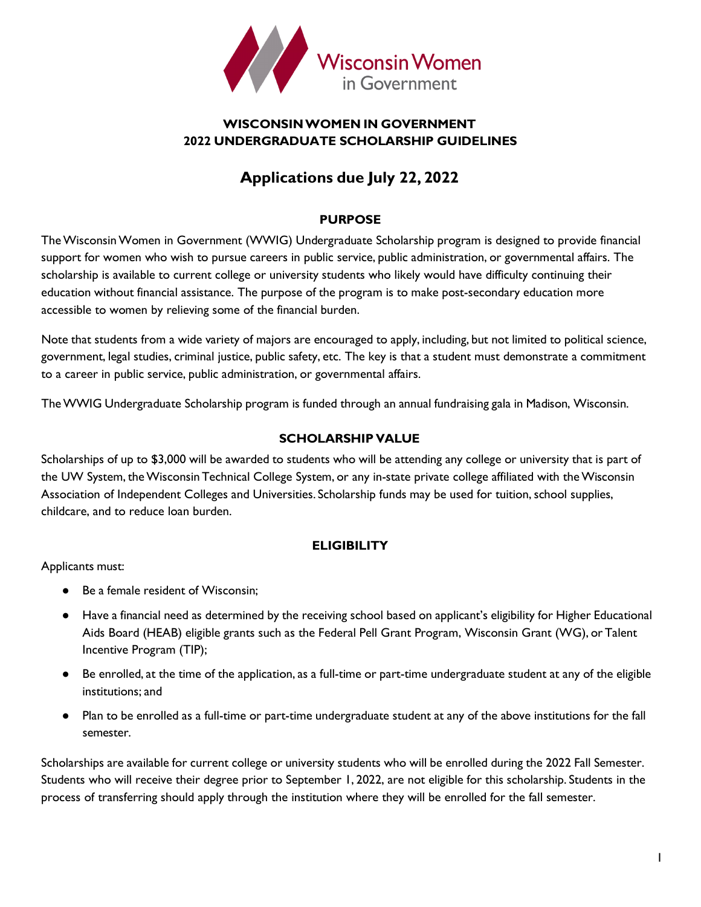

# **WISCONSINWOMEN IN GOVERNMENT 2022 UNDERGRADUATE SCHOLARSHIP GUIDELINES**

# **Applications due July 22, 2022**

# **PURPOSE**

TheWisconsinWomen in Government (WWIG) Undergraduate Scholarship program is designed to provide financial support for women who wish to pursue careers in public service, public administration, or governmental affairs. The scholarship is available to current college or university students who likely would have difficulty continuing their education without financial assistance. The purpose of the program is to make post-secondary education more accessible to women by relieving some of the financial burden.

Note that students from a wide variety of majors are encouraged to apply, including, but not limited to political science, government, legal studies, criminal justice, public safety, etc. The key is that a student must demonstrate a commitment to a career in public service, public administration, or governmental affairs.

TheWWIG Undergraduate Scholarship program is funded through an annual fundraising gala in Madison, Wisconsin.

# **SCHOLARSHIP VALUE**

Scholarships of up to \$3,000 will be awarded to students who will be attending any college or university that is part of the UW System, theWisconsin Technical College System, or any in-state private college affiliated with theWisconsin Association of Independent Colleges and Universities. Scholarship funds may be used for tuition, school supplies, childcare, and to reduce loan burden.

# **ELIGIBILITY**

Applicants must:

- Be a female resident of Wisconsin:
- Have a financial need as determined by the receiving school based on applicant's eligibility for Higher Educational Aids Board (HEAB) eligible grants such as the Federal Pell Grant Program, Wisconsin Grant (WG), or Talent Incentive Program (TIP);
- Be enrolled, at the time of the application, as a full-time or part-time undergraduate student at any of the eligible institutions; and
- Plan to be enrolled as a full-time or part-time undergraduate student at any of the above institutions for the fall semester.

Scholarships are available for current college or university students who will be enrolled during the 2022 Fall Semester. Students who will receive their degree prior to September 1, 2022, are not eligible for this scholarship. Students in the process of transferring should apply through the institution where they will be enrolled for the fall semester.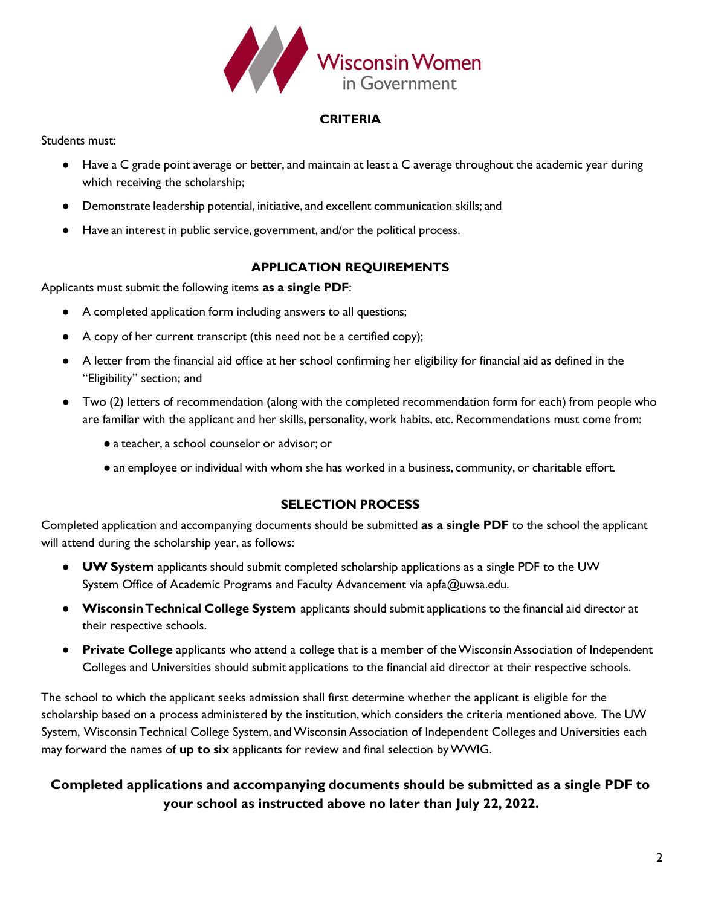

### **CRITERIA**

Students must:

- Have a C grade point average or better, and maintain at least a C average throughout the academic year during which receiving the scholarship;
- Demonstrate leadership potential, initiative, and excellent communication skills; and
- Have an interest in public service, government, and/or the political process.

# **APPLICATION REQUIREMENTS**

Applicants must submit the following items **as a single PDF**:

- A completed application form including answers to all questions;
- A copy of her current transcript (this need not be a certified copy);
- A letter from the financial aid office at her school confirming her eligibility for financial aid as defined in the "Eligibility" section; and
- Two (2) letters of recommendation (along with the completed recommendation form for each) from people who are familiar with the applicant and her skills, personality, work habits, etc. Recommendations must come from:
	- a teacher, a school counselor or advisor; or
	- an employee or individual with whom she has worked in a business, community, or charitable effort.

# **SELECTION PROCESS**

Completed application and accompanying documents should be submitted **as a single PDF** to the school the applicant will attend during the scholarship year, as follows:

- **UW System** applicants should submit completed scholarship applications as a single PDF to the UW System Office of Academic Programs and Faculty Advancement via apfa@uwsa.edu.
- **WisconsinTechnical College System** applicants should submit applications to the financial aid director at their respective schools.
- **Private College** applicants who attend a college that is a member of the Wisconsin Association of Independent Colleges and Universities should submit applications to the financial aid director at their respective schools.

The school to which the applicant seeks admission shall first determine whether the applicant is eligible for the scholarship based on a process administered by the institution, which considers the criteria mentioned above. The UW System, Wisconsin Technical College System, andWisconsin Association of Independent Colleges and Universities each may forward the names of **up to six** applicants for review and final selection byWWIG.

# **Completed applications and accompanying documents should be submitted as a single PDF to your school as instructed above no later than July 22, 2022.**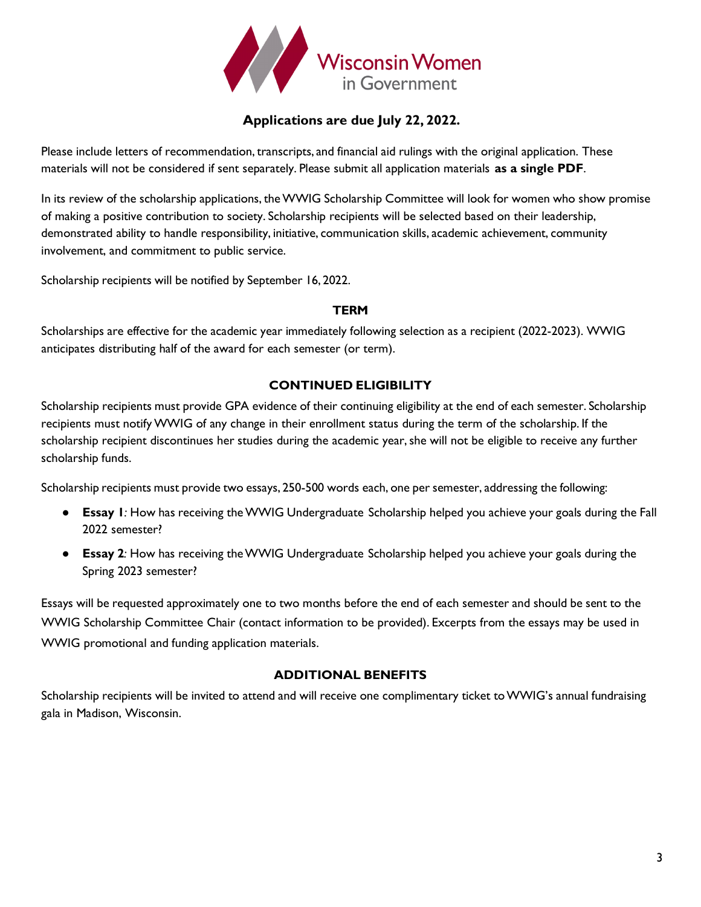

# **Applications are due July 22, 2022.**

Please include letters of recommendation, transcripts, and financial aid rulings with the original application. These materials will not be considered if sent separately. Please submit all application materials **as a single PDF**.

In its review of the scholarship applications, theWWIG Scholarship Committee will look for women who show promise of making a positive contribution to society. Scholarship recipients will be selected based on their leadership, demonstrated ability to handle responsibility, initiative, communication skills, academic achievement, community involvement, and commitment to public service.

Scholarship recipients will be notified by September 16, 2022.

### **TERM**

Scholarships are effective for the academic year immediately following selection as a recipient (2022-2023). WWIG anticipates distributing half of the award for each semester (or term).

# **CONTINUED ELIGIBILITY**

Scholarship recipients must provide GPA evidence of their continuing eligibility at the end of each semester. Scholarship recipients must notifyWWIG of any change in their enrollment status during the term of the scholarship. If the scholarship recipient discontinues her studies during the academic year, she will not be eligible to receive any further scholarship funds.

Scholarship recipients must provide two essays, 250-500 words each, one per semester, addressing the following:

- **Essay 1***:* How has receiving theWWIG Undergraduate Scholarship helped you achieve your goals during the Fall 2022 semester?
- **Essay 2***:* How has receiving theWWIG Undergraduate Scholarship helped you achieve your goals during the Spring 2023 semester?

Essays will be requested approximately one to two months before the end of each semester and should be sent to the WWIG Scholarship Committee Chair (contact information to be provided). Excerpts from the essays may be used in WWIG promotional and funding application materials.

### **ADDITIONAL BENEFITS**

Scholarship recipients will be invited to attend and will receive one complimentary ticket toWWIG's annual fundraising gala in Madison, Wisconsin.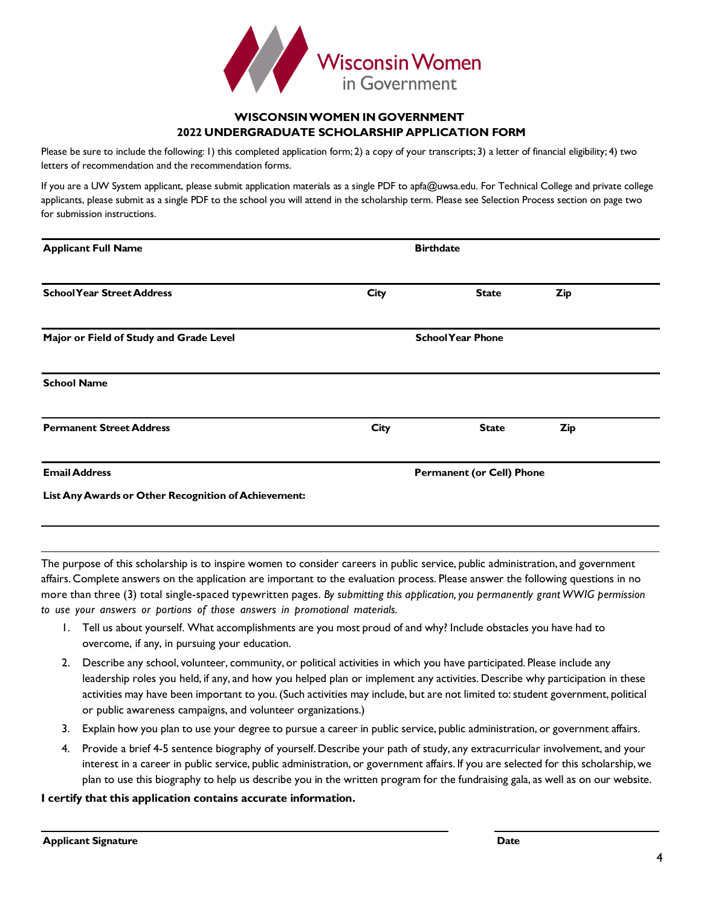

### **WISCONSINWOMEN IN GOVERNMENT 2022 UNDERGRADUATE SCHOLARSHIP APPLICATION FORM**

Please be sure to include the following: 1) this completed application form; 2) a copy of your transcripts; 3) a letter of financial eligibility; 4) two letters of recommendation and the recommendation forms.

If you are a UW System applicant, please submit application materials as a single PDF to apfa@uwsa.edu. For Technical College and private college applicants, please submit as a single PDF to the school you will attend in the scholarship term. Please see Selection Process section on page two for submission instructions.

| <b>Applicant Full Name</b>                           | <b>Birthdate</b>                 |              |            |  |  |
|------------------------------------------------------|----------------------------------|--------------|------------|--|--|
| <b>School Year Street Address</b>                    | City                             | <b>State</b> | <b>Zip</b> |  |  |
| Major or Field of Study and Grade Level              | <b>School Year Phone</b>         |              |            |  |  |
| <b>School Name</b>                                   |                                  |              |            |  |  |
| <b>Permanent Street Address</b>                      | City                             | <b>State</b> | <b>Zip</b> |  |  |
| <b>Email Address</b>                                 | <b>Permanent (or Cell) Phone</b> |              |            |  |  |
| List Any Awards or Other Recognition of Achievement: |                                  |              |            |  |  |

The purpose of this scholarship is to inspire women to consider careers in public service, public administration, and government affairs. Complete answers on the application are important to the evaluation process. Please answer the following questions in no more than three (3) total single-spaced typewritten pages. *By submitting this application,you permanently grant WWIG permission to use your answers or portions of those answers in promotional materials.*

- 1. Tell us about yourself. What accomplishments are you most proud of and why? Include obstacles you have had to overcome, if any, in pursuing your education.
- 2. Describe any school, volunteer, community, or political activities in which you have participated. Please include any leadership roles you held, if any, and how you helped plan or implement any activities. Describe why participation in these activities may have been important to you. (Such activities may include, but are not limited to: student government, political or public awareness campaigns, and volunteer organizations.)
- 3. Explain how you plan to use your degree to pursue a career in public service, public administration, or government affairs.
- 4. Provide a brief 4-5 sentence biography of yourself.Describe your path of study, any extracurricular involvement, and your interest in a career in public service, public administration, or government affairs. If you are selected for this scholarship,we plan to use this biography to help us describe you in the written program for the fundraising gala, as well as on our website.

#### **I certify that this application contains accurate information.**